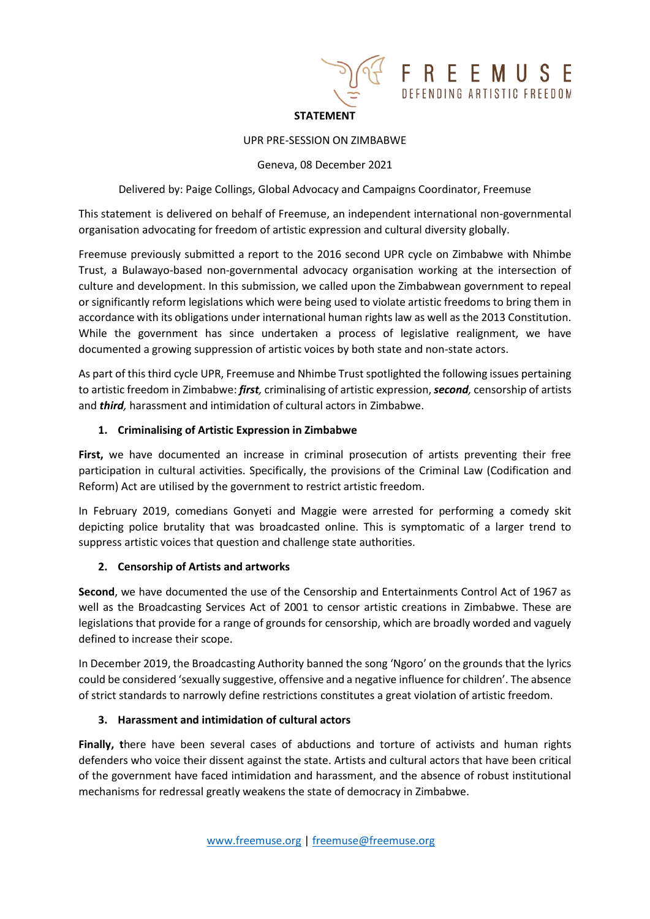

**FREEMUSE** DEFENDING ARTISTIC FREEDOM

#### UPR PRE-SESSION ON ZIMBABWE

#### Geneva, 08 December 2021

Delivered by: Paige Collings, Global Advocacy and Campaigns Coordinator, Freemuse

This statement is delivered on behalf of Freemuse, an independent international non-governmental organisation advocating for freedom of artistic expression and cultural diversity globally.

Freemuse previously submitted a report to the 2016 second UPR cycle on Zimbabwe with Nhimbe Trust, a Bulawayo-based non-governmental advocacy organisation working at the intersection of culture and development. In this submission, we called upon the Zimbabwean government to repeal or significantly reform legislations which were being used to violate artistic freedoms to bring them in accordance with its obligations under international human rights law as well as the 2013 Constitution. While the government has since undertaken a process of legislative realignment, we have documented a growing suppression of artistic voices by both state and non-state actors.

As part of this third cycle UPR, Freemuse and Nhimbe Trust spotlighted the following issues pertaining to artistic freedom in Zimbabwe: *first,* criminalising of artistic expression, *second,* censorship of artists and *third,* harassment and intimidation of cultural actors in Zimbabwe.

## **1. Criminalising of Artistic Expression in Zimbabwe**

First, we have documented an increase in criminal prosecution of artists preventing their free participation in cultural activities. Specifically, the provisions of the Criminal Law (Codification and Reform) Act are utilised by the government to restrict artistic freedom.

In February 2019, comedians Gonyeti and Maggie were arrested for performing a comedy skit depicting police brutality that was broadcasted online. This is symptomatic of a larger trend to suppress artistic voices that question and challenge state authorities.

## **2. Censorship of Artists and artworks**

**Second**, we have documented the use of the Censorship and Entertainments Control Act of 1967 as well as the Broadcasting Services Act of 2001 to censor artistic creations in Zimbabwe. These are legislations that provide for a range of grounds for censorship, which are broadly worded and vaguely defined to increase their scope.

In December 2019, the Broadcasting Authority banned the song 'Ngoro' on the grounds that the lyrics could be considered 'sexually suggestive, offensive and a negative influence for children'. The absence of strict standards to narrowly define restrictions constitutes a great violation of artistic freedom.

## **3. Harassment and intimidation of cultural actors**

**Finally, t**here have been several cases of abductions and torture of activists and human rights defenders who voice their dissent against the state. Artists and cultural actors that have been critical of the government have faced intimidation and harassment, and the absence of robust institutional mechanisms for redressal greatly weakens the state of democracy in Zimbabwe.